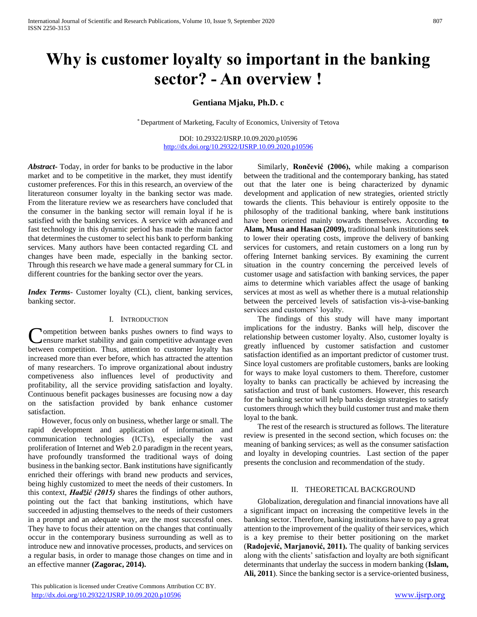# **Why is customer loyalty so important in the banking sector? - An overview !**

**Gentiana Mjaku, Ph.D. c** 

\* Department of Marketing, Faculty of Economics, University of Tetova

DOI: 10.29322/IJSRP.10.09.2020.p10596 <http://dx.doi.org/10.29322/IJSRP.10.09.2020.p10596>

*Abstract***-** Today, in order for banks to be productive in the labor market and to be competitive in the market, they must identify customer preferences. For this in this research, an overview of the literatureon consumer loyalty in the banking sector was made. From the literature review we as researchers have concluded that the consumer in the banking sector will remain loyal if he is satisfied with the banking services. A service with advanced and fast technology in this dynamic period has made the main factor that determines the customer to select his bank to perform banking services. Many authors have been contacted regarding CL and changes have been made, especially in the banking sector. Through this research we have made a general summary for CL in different countries for the banking sector over the years.

*Index Terms*- Customer loyalty (CL), client, banking services, banking sector.

## I. INTRODUCTION

ompetition between banks pushes owners to find ways to ensure market stability and gain competitive advantage even between competition. Thus, attention to customer loyalty has increased more than ever before, which has attracted the attention of many researchers. To improve organizational about industry competiveness also influences level of productivity and profitability, all the service providing satisfaction and loyalty. Continuous benefit packages businesses are focusing now a day on the satisfaction provided by bank enhance customer satisfaction. C

 However, focus only on business, whether large or small. The rapid development and application of information and communication technologies (ICTs), especially the vast proliferation of Internet and Web 2.0 paradigm in the recent years, have profoundly transformed the traditional ways of doing business in the banking sector. Bank institutions have significantly enriched their offerings with brand new products and services, being highly customized to meet the needs of their customers. In this context, *Hadžić (2015)* shares the findings of other authors, pointing out the fact that banking institutions, which have succeeded in adjusting themselves to the needs of their customers in a prompt and an adequate way, are the most successful ones. They have to focus their attention on the changes that continually occur in the contemporary business surrounding as well as to introduce new and innovative processes, products, and services on a regular basis, in order to manage those changes on time and in an effective manner **(Zagorac, 2014).**

 Similarly, **Rončević (2006),** while making a comparison between the traditional and the contemporary banking, has stated out that the later one is being characterized by dynamic development and application of new strategies, oriented strictly towards the clients. This behaviour is entirely opposite to the philosophy of the traditional banking, where bank institutions have been oriented mainly towards themselves. According **to Alam, Musa and Hasan (2009),** traditional bank institutions seek to lower their operating costs, improve the delivery of banking services for customers, and retain customers on a long run by offering Internet banking services. By examining the current situation in the country concerning the perceived levels of customer usage and satisfaction with banking services, the paper aims to determine which variables affect the usage of banking services at most as well as whether there is a mutual relationship between the perceived levels of satisfaction vis-à-vise-banking services and customers' loyalty.

 The findings of this study will have many important implications for the industry. Banks will help, discover the relationship between customer loyalty. Also, customer loyalty is greatly influenced by customer satisfaction and customer satisfaction identified as an important predictor of customer trust. Since loyal customers are profitable customers, banks are looking for ways to make loyal customers to them. Therefore, customer loyalty to banks can practically be achieved by increasing the satisfaction and trust of bank customers. However, this research for the banking sector will help banks design strategies to satisfy customers through which they build customer trust and make them loyal to the bank.

 The rest of the research is structured as follows. The literature review is presented in the second section, which focuses on: the meaning of banking services; as well as the consumer satisfaction and loyalty in developing countries. Last section of the paper presents the conclusion and recommendation of the study.

### II. THEORETICAL BACKGROUND

 Globalization, deregulation and financial innovations have all a significant impact on increasing the competitive levels in the banking sector. Therefore, banking institutions have to pay a great attention to the improvement of the quality of their services, which is a key premise to their better positioning on the market (**Radojević, Marjanović, 2011).** The quality of banking services along with the clients' satisfaction and loyalty are both significant determinants that underlay the success in modern banking (**Islam, Ali, 2011**). Since the banking sector is a service-oriented business,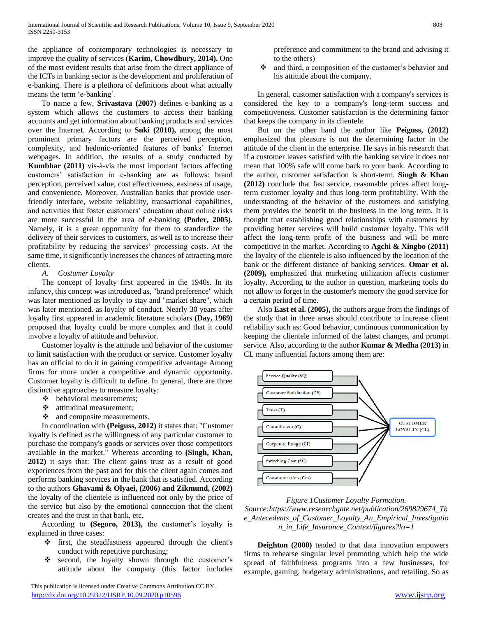the appliance of contemporary technologies is necessary to improve the quality of services (**Karim, Chowdhury, 2014).** One of the most evident results that arise from the direct appliance of the ICTs in banking sector is the development and proliferation of e-banking. There is a plethora of definitions about what actually means the term 'e-banking'.

 To name a few, **Srivastava (2007)** defines e-banking as a system which allows the customers to access their banking accounts and get information about banking products and services over the Internet. According to **Suki (2010),** among the most prominent primary factors are the perceived perception, complexity, and hedonic-oriented features of banks' Internet webpages. In addition, the results of a study conducted by **Kumbhar (2011)** vis-à-vis the most important factors affecting customers' satisfaction in e-banking are as follows: brand perception, perceived value, cost effectiveness, easiness of usage, and convenience. Moreover, Australian banks that provide userfriendly interface, website reliability, transactional capabilities, and activities that foster customers' education about online risks are more successful in the area of e-banking **(Poder, 2005).**  Namely, it is a great opportunity for them to standardize the delivery of their services to customers, as well as to increase their profitability by reducing the services' processing costs. At the same time, it significantly increases the chances of attracting more clients.

## *A. Costumer Loyalty*

 The concept of loyalty first appeared in the 1940s. In its infancy, this concept was introduced as, "brand preference" which was later mentioned as loyalty to stay and "market share", which was later mentioned. as loyalty of conduct. Nearly 30 years after loyalty first appeared in academic literature scholars **(Day, 1969)**  proposed that loyalty could be more complex and that it could involve a loyalty of attitude and behavior.

 Customer loyalty is the attitude and behavior of the customer to limit satisfaction with the product or service. Customer loyalty has an official to do it in gaining competitive advantage Among firms for more under a competitive and dynamic opportunity. Customer loyalty is difficult to define. In general, there are three distinctive approaches to measure loyalty:

- $\triangleleft$  behavioral measurements;
- attitudinal measurement;
- and composite measurements.

 In coordination with **(Peiguss, 2012)** it states that: "Customer loyalty is defined as the willingness of any particular customer to purchase the company's goods or services over those competitors available in the market." Whereas according to **(Singh, Khan, 2012)** it says that: The client gains trust as a result of good experiences from the past and for this the client again comes and performs banking services in the bank that is satisfied. According to the authors **Ghavami & Olyaei, (2006) and Zikmund, (2002)** the loyalty of the clientele is influenced not only by the price of the service but also by the emotional connection that the client creates and the trust in that bank, etc**.**

 According to **(Segoro, 2013),** the customer's loyalty is explained in three cases:

- first, the steadfastness appeared through the client's conduct with repetitive purchasing;
- \* second, the loyalty shown through the customer's attitude about the company (this factor includes

preference and commitment to the brand and advising it to the others)

• and third, a composition of the customer's behavior and his attitude about the company.

 In general, customer satisfaction with a company's services is considered the key to a company's long-term success and competitiveness. Customer satisfaction is the determining factor that keeps the company in its clientele.

 But on the other hand the author like **Peiguss, (2012)** emphasized that pleasure is not the determining factor in the attitude of the client in the enterprise. He says in his research that if a customer leaves satisfied with the banking service it does not mean that 100% safe will come back to your bank. According to the author, customer satisfaction is short-term. **Singh & Khan (2012)** conclude that fast service, reasonable prices affect longterm customer loyalty and thus long-term profitability. With the understanding of the behavior of the customers and satisfying them provides the benefit to the business in the long term. It is thought that establishing good relationships with customers by providing better services will build customer loyalty. This will affect the long-term profit of the business and will be more competitive in the market. According to **Agchi & Xingbo (2011)** the loyalty of the clientele is also influenced by the location of the bank or the different distance of banking services. **Omar et al. (2009),** emphasized that marketing utilization affects customer loyalty. According to the author in question, marketing tools do not allow to forget in the customer's memory the good service for a certain period of time.

 Also **East et al. (2005),** the authors argue from the findings of the study that in three areas should contribute to increase client reliability such as: Good behavior, continuous communication by keeping the clientele informed of the latest changes, and prompt service. Also, according to the author **Kumar & Medha (2013)** in CL many influential factors among them are:



*Figure 1Customer Loyalty Formation. Source:https://www.researchgate.net/publication/269829674\_Th e\_Antecedents\_of\_Customer\_Loyalty\_An\_Empirical\_Investigatio n\_in\_Life\_Insurance\_Context/figures?lo=1*

 **Deighton (2000)** tended to that data innovation empowers firms to rehearse singular level promoting which help the wide spread of faithfulness programs into a few businesses, for example, gaming, budgetary administrations, and retailing. So as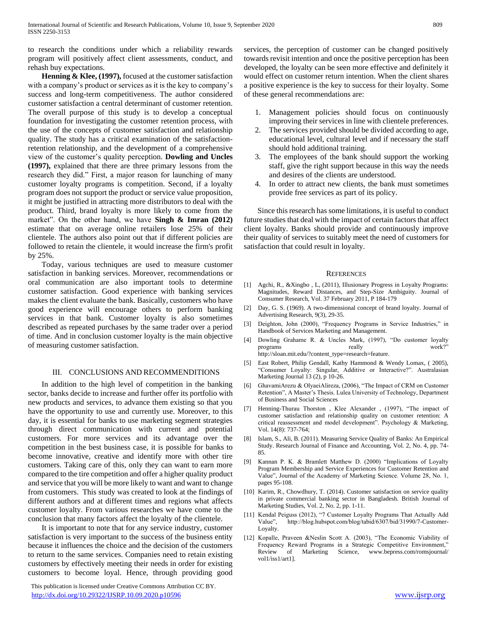to research the conditions under which a reliability rewards program will positively affect client assessments, conduct, and rehash buy expectations.

 **Henning & Klee, (1997),** focused at the customer satisfaction with a company's product or services as it is the key to company's success and long-term competitiveness. The author considered customer satisfaction a central determinant of customer retention. The overall purpose of this study is to develop a conceptual foundation for investigating the customer retention process, with the use of the concepts of customer satisfaction and relationship quality. The study has a critical examination of the satisfactionretention relationship, and the development of a comprehensive view of the customer's quality perception. **Dowling and Uncles (1997),** explained that there are three primary lessons from the research they did." First, a major reason for launching of many customer loyalty programs is competition. Second, if a loyalty program does not support the product or service value proposition, it might be justified in attracting more distributors to deal with the product. Third, brand loyalty is more likely to come from the market". On the other hand, we have **Singh & Imran (2012)** estimate that on average online retailers lose 25% of their clientele. The authors also point out that if different policies are followed to retain the clientele, it would increase the firm's profit by 25%.

 Today, various techniques are used to measure customer satisfaction in banking services. Moreover, recommendations or oral communication are also important tools to determine customer satisfaction. Good experience with banking services makes the client evaluate the bank. Basically, customers who have good experience will encourage others to perform banking services in that bank. Customer loyalty is also sometimes described as repeated purchases by the same trader over a period of time. And in conclusion customer loyalty is the main objective of measuring customer satisfaction.

## III. CONCLUSIONS AND RECOMMENDITIONS

 In addition to the high level of competition in the banking sector, banks decide to increase and further offer its portfolio with new products and services, to advance them existing so that you have the opportunity to use and currently use. Moreover, to this day, it is essential for banks to use marketing segment strategies through direct communication with current and potential customers. For more services and its advantage over the competition in the best business case, it is possible for banks to become innovative, creative and identify more with other tire customers. Taking care of this, only they can want to earn more compared to the tire competition and offer a higher quality product and service that you will be more likely to want and want to change from customers. This study was created to look at the findings of different authors and at different times and regions what affects customer loyalty. From various researches we have come to the conclusion that many factors affect the loyalty of the clientele.

 It is important to note that for any service industry, customer satisfaction is very important to the success of the business entity because it influences the choice and the decision of the customers to return to the same services. Companies need to retain existing customers by effectively meeting their needs in order for existing customers to become loyal. Hence, through providing good

 This publication is licensed under Creative Commons Attribution CC BY. <http://dx.doi.org/10.29322/IJSRP.10.09.2020.p10596> [www.ijsrp.org](http://ijsrp.org/)

services, the perception of customer can be changed positively towards revisit intention and once the positive perception has been developed, the loyalty can be seen more effective and definitely it would effect on customer return intention. When the client shares a positive experience is the key to success for their loyalty. Some of these general recommendations are:

- 1. Management policies should focus on continuously improving their services in line with clientele preferences.
- 2. The services provided should be divided according to age, educational level, cultural level and if necessary the staff should hold additional training.
- 3. The employees of the bank should support the working staff, give the right support because in this way the needs and desires of the clients are understood.
- 4. In order to attract new clients, the bank must sometimes provide free services as part of its policy.

 Since this research has some limitations, it is useful to conduct future studies that deal with the impact of certain factors that affect client loyalty. Banks should provide and continuously improve their quality of services to suitably meet the need of customers for satisfaction that could result in loyalty.

#### **REFERENCES**

- [1] Agchi, R., &Xingbo , L, (2011), Illusionary Progress in Loyalty Programs: Magnitudes, Reward Distances, and Step-Size Ambiguity. Journal of Consumer Research, Vol. 37 February 2011, P 184-179
- [2] Day, G. S. (1969). A two-dimensional concept of brand loyalty. Journal of Advertising Research, 9(3), 29-35.
- [3] Deighton, John (2000), "Frequency Programs in Service Industries," in Handbook of Services Marketing and Management.
- [4] Dowling Grahame R. & Uncles Mark, (1997), "Do customer loyalty programs really really work?" http://sloan.mit.edu/?content\_type=research=feature.
- [5] East Robert, Philip Gendall, Kathy Hammond & Wendy Lomax, ( 2005), "Consumer Loyalty: Singular, Additive or Interactive?". Australasian Marketing Journal 13 (2), p 10-26.
- [6] GhavamiArezu & OlyaeiAlireza, (2006), "The Impact of CRM on Customer Retention", A Master's Thesis. Lulea University of Technology, Department of Business and Social Sciences
- [7] Henning-Thurau Thorston , Klee Alexander , (1997), "The impact of customer satisfaction and relationship quality on customer retention: A critical reassessment and model development". Psychology & Marketing, Vol. 14(8): 737-764;
- [8] Islam, S., Ali, B. (2011). Measuring Service Quality of Banks: An Empirical Study. Research Journal of Finance and Accounting, Vol. 2, No. 4, pp. 74- 85.
- [9] Kannan P. K. & Bramlett Matthew D. (2000) "Implications of Loyalty Program Membership and Service Experiences for Customer Retention and Value", Journal of the Academy of Marketing Science. Volume 28, No. 1, pages 95-108.
- [10] Karim, R., Chowdhury, T. (2014). Customer satisfaction on service quality in private commercial banking sector in Bangladesh. British Journal of Marketing Studies, Vol. 2, No. 2, pp. 1-11.
- [11] Kendal Peiguss (2012), "7 Customer Loyalty Programs That Actually Add Value", http://blog.hubspot.com/blog/tabid/6307/bid/31990/7-Customer-Loyalty.
- [12] Kopalle, Praveen &Neslin Scott A. (2003), "The Economic Viability of Frequency Reward Programs in a Strategic Competitive Environment," Review of Marketing Science, www.bepress.com/romsjournal/ vol1/iss1/art1].